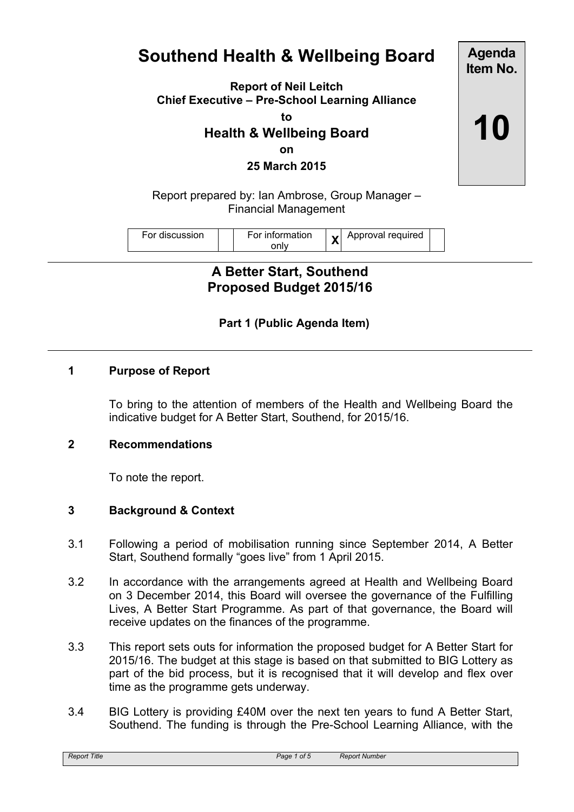# **Southend Health & Wellbeing Board**

**Report of Neil Leitch Chief Executive – Pre-School Learning Alliance**

**to**

# **Health & Wellbeing Board**

**on**

**25 March 2015**

Report prepared by: Ian Ambrose, Group Manager – Financial Management

| For discussion | For information | $\bullet$ | Approval required |
|----------------|-----------------|-----------|-------------------|
|                |                 |           |                   |

**A Better Start, Southend Proposed Budget 2015/16**

# **Part 1 (Public Agenda Item)**

#### **1 Purpose of Report**

To bring to the attention of members of the Health and Wellbeing Board the indicative budget for A Better Start, Southend, for 2015/16.

#### **2 Recommendations**

To note the report.

#### **3 Background & Context**

- 3.1 Following a period of mobilisation running since September 2014, A Better Start, Southend formally "goes live" from 1 April 2015.
- 3.2 In accordance with the arrangements agreed at Health and Wellbeing Board on 3 December 2014, this Board will oversee the governance of the Fulfilling Lives, A Better Start Programme. As part of that governance, the Board will receive updates on the finances of the programme.
- 3.3 This report sets outs for information the proposed budget for A Better Start for 2015/16. The budget at this stage is based on that submitted to BIG Lottery as part of the bid process, but it is recognised that it will develop and flex over time as the programme gets underway.
- 3.4 BIG Lottery is providing £40M over the next ten years to fund A Better Start, Southend. The funding is through the Pre-School Learning Alliance, with the

**Item No. 10**

**Agenda**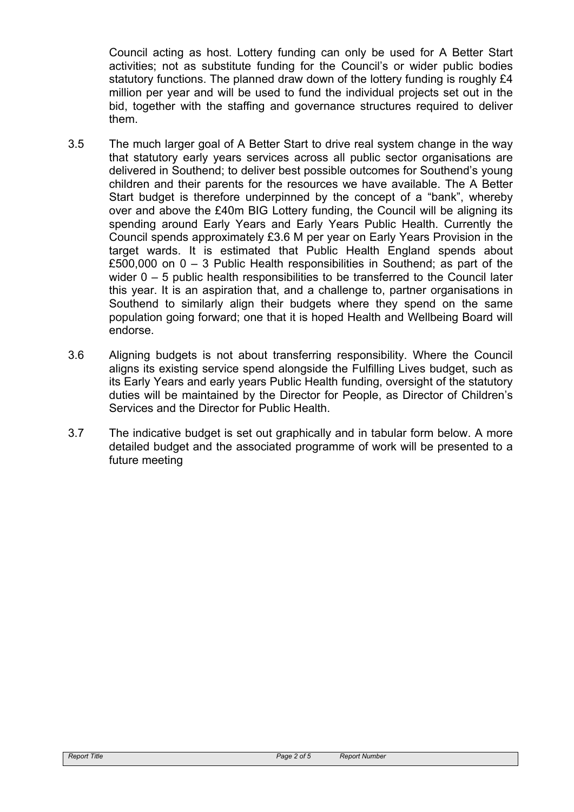Council acting as host. Lottery funding can only be used for A Better Start activities; not as substitute funding for the Council's or wider public bodies statutory functions. The planned draw down of the lottery funding is roughly £4 million per year and will be used to fund the individual projects set out in the bid, together with the staffing and governance structures required to deliver them.

- 3.5 The much larger goal of A Better Start to drive real system change in the way that statutory early years services across all public sector organisations are delivered in Southend; to deliver best possible outcomes for Southend's young children and their parents for the resources we have available. The A Better Start budget is therefore underpinned by the concept of a "bank", whereby over and above the £40m BIG Lottery funding, the Council will be aligning its spending around Early Years and Early Years Public Health. Currently the Council spends approximately £3.6 M per year on Early Years Provision in the target wards. It is estimated that Public Health England spends about £500,000 on 0 – 3 Public Health responsibilities in Southend; as part of the wider 0 – 5 public health responsibilities to be transferred to the Council later this year. It is an aspiration that, and a challenge to, partner organisations in Southend to similarly align their budgets where they spend on the same population going forward; one that it is hoped Health and Wellbeing Board will endorse.
- 3.6 Aligning budgets is not about transferring responsibility. Where the Council aligns its existing service spend alongside the Fulfilling Lives budget, such as its Early Years and early years Public Health funding, oversight of the statutory duties will be maintained by the Director for People, as Director of Children's Services and the Director for Public Health.
- 3.7 The indicative budget is set out graphically and in tabular form below. A more detailed budget and the associated programme of work will be presented to a future meeting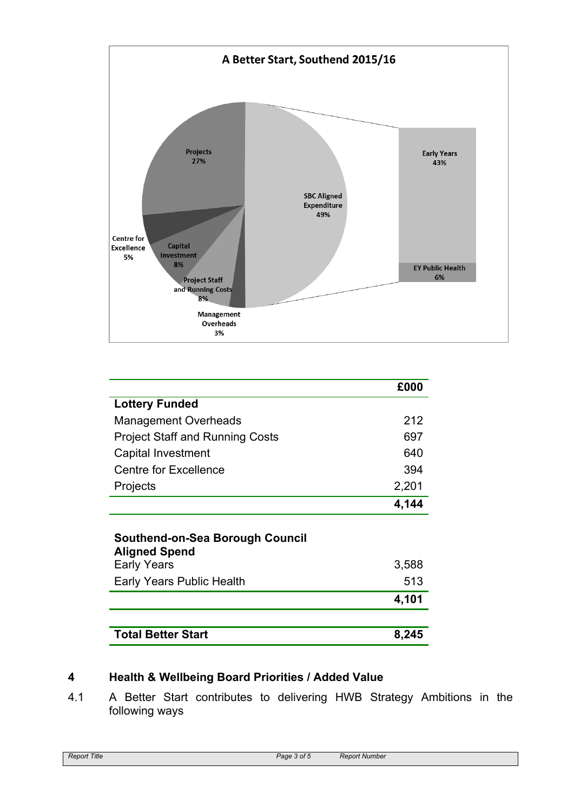

|                                                         | £000  |  |  |  |
|---------------------------------------------------------|-------|--|--|--|
| <b>Lottery Funded</b>                                   |       |  |  |  |
| <b>Management Overheads</b>                             | 212   |  |  |  |
| <b>Project Staff and Running Costs</b>                  | 697   |  |  |  |
| Capital Investment                                      | 640   |  |  |  |
| <b>Centre for Excellence</b>                            | 394   |  |  |  |
| Projects                                                | 2,201 |  |  |  |
|                                                         | 4,144 |  |  |  |
| Southend-on-Sea Borough Council<br><b>Aligned Spend</b> |       |  |  |  |
| <b>Early Years</b>                                      | 3,588 |  |  |  |
| <b>Early Years Public Health</b>                        | 513   |  |  |  |

| <b>Total Better Start</b> | 8,245 |
|---------------------------|-------|

## **4 Health & Wellbeing Board Priorities / Added Value**

4.1 A Better Start contributes to delivering HWB Strategy Ambitions in the following ways

**4,101**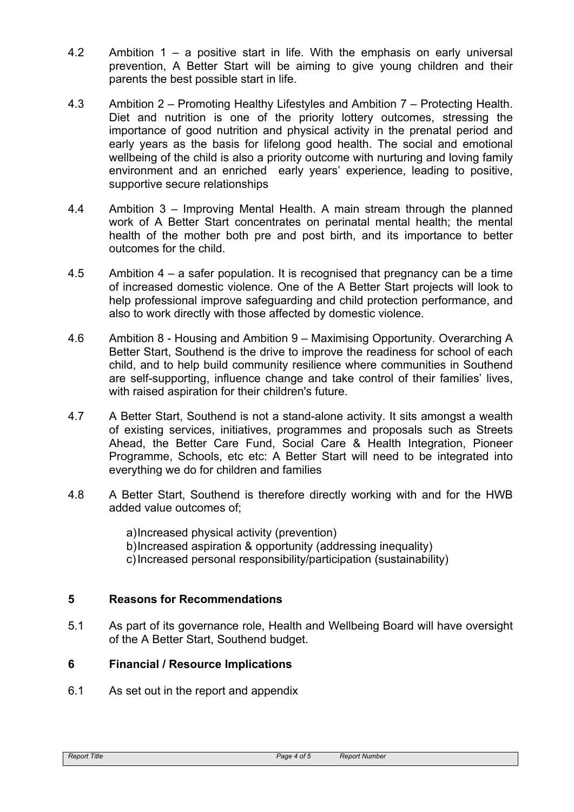- 4.2 Ambition 1 a positive start in life. With the emphasis on early universal prevention, A Better Start will be aiming to give young children and their parents the best possible start in life.
- 4.3 Ambition 2 Promoting Healthy Lifestyles and Ambition 7 Protecting Health. Diet and nutrition is one of the priority lottery outcomes, stressing the importance of good nutrition and physical activity in the prenatal period and early years as the basis for lifelong good health. The social and emotional wellbeing of the child is also a priority outcome with nurturing and loving family environment and an enriched early years' experience, leading to positive, supportive secure relationships
- 4.4 Ambition 3 Improving Mental Health. A main stream through the planned work of A Better Start concentrates on perinatal mental health; the mental health of the mother both pre and post birth, and its importance to better outcomes for the child.
- 4.5 Ambition 4 a safer population. It is recognised that pregnancy can be a time of increased domestic violence. One of the A Better Start projects will look to help professional improve safeguarding and child protection performance, and also to work directly with those affected by domestic violence.
- 4.6 Ambition 8 Housing and Ambition 9 Maximising Opportunity. Overarching A Better Start, Southend is the drive to improve the readiness for school of each child, and to help build community resilience where communities in Southend are self-supporting, influence change and take control of their families' lives, with raised aspiration for their children's future.
- 4.7 A Better Start, Southend is not a stand-alone activity. It sits amongst a wealth of existing services, initiatives, programmes and proposals such as Streets Ahead, the Better Care Fund, Social Care & Health Integration, Pioneer Programme, Schools, etc etc: A Better Start will need to be integrated into everything we do for children and families
- 4.8 A Better Start, Southend is therefore directly working with and for the HWB added value outcomes of;

a)Increased physical activity (prevention) b)Increased aspiration & opportunity (addressing inequality) c)Increased personal responsibility/participation (sustainability)

## **5 Reasons for Recommendations**

5.1 As part of its governance role, Health and Wellbeing Board will have oversight of the A Better Start, Southend budget.

## **6 Financial / Resource Implications**

6.1 As set out in the report and appendix